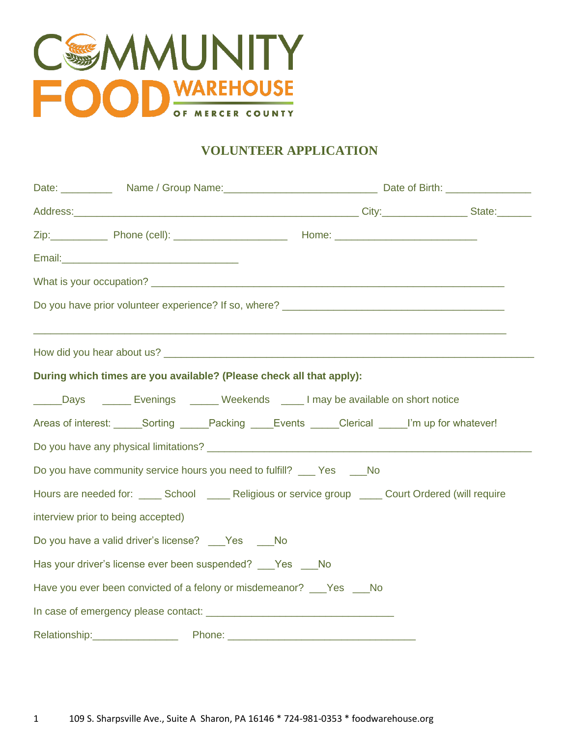

# **VOLUNTEER APPLICATION**

| Address: State: State: State: State: State: State: State: State: State: State: State: State: State: State: State: State: State: State: State: State: State: State: State: State: State: State: State: State: State: State: Sta |  |
|--------------------------------------------------------------------------------------------------------------------------------------------------------------------------------------------------------------------------------|--|
|                                                                                                                                                                                                                                |  |
|                                                                                                                                                                                                                                |  |
|                                                                                                                                                                                                                                |  |
|                                                                                                                                                                                                                                |  |
| ,我们也不能在这里的人,我们也不能在这里的人,我们也不能在这里的人,我们也不能在这里的人,我们也不能在这里的人,我们也不能在这里的人,我们也不能在这里的人,我们也                                                                                                                                              |  |
| During which times are you available? (Please check all that apply):                                                                                                                                                           |  |
| _____Days ________ Evenings _______ Weekends _____ I may be available on short notice                                                                                                                                          |  |
| Areas of interest: Sorting Packing Events Clerical Minup for whatever!                                                                                                                                                         |  |
|                                                                                                                                                                                                                                |  |
| Do you have community service hours you need to fulfill? ____ Yes _____ No                                                                                                                                                     |  |
| Hours are needed for: _____ School _____ Religious or service group _____ Court Ordered (will require                                                                                                                          |  |
| interview prior to being accepted)                                                                                                                                                                                             |  |
| Do you have a valid driver's license? No Ses No                                                                                                                                                                                |  |
| Has your driver's license ever been suspended? ___ Yes ___ No                                                                                                                                                                  |  |
| Have you ever been convicted of a felony or misdemeanor? _____ Yes _____ No                                                                                                                                                    |  |
|                                                                                                                                                                                                                                |  |
|                                                                                                                                                                                                                                |  |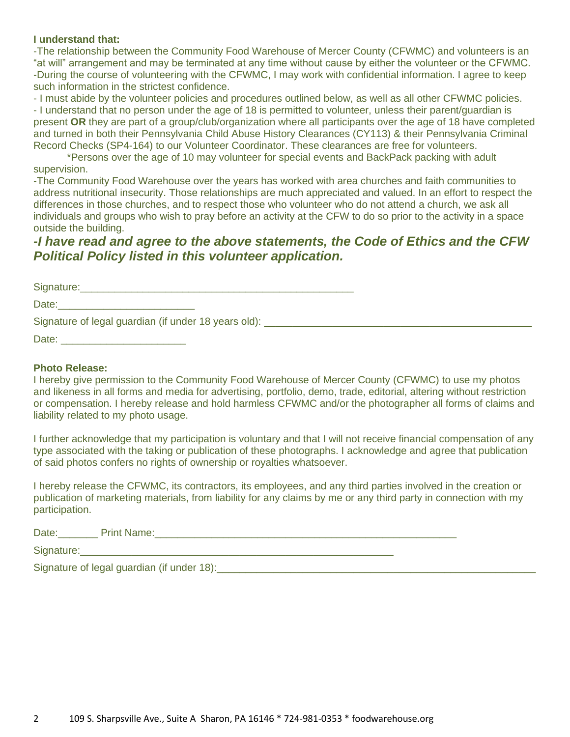#### **I understand that:**

-The relationship between the Community Food Warehouse of Mercer County (CFWMC) and volunteers is an "at will" arrangement and may be terminated at any time without cause by either the volunteer or the CFWMC. -During the course of volunteering with the CFWMC, I may work with confidential information. I agree to keep such information in the strictest confidence.

- I must abide by the volunteer policies and procedures outlined below, as well as all other CFWMC policies. - I understand that no person under the age of 18 is permitted to volunteer, unless their parent/guardian is present **OR** they are part of a group/club/organization where all participants over the age of 18 have completed and turned in both their Pennsylvania Child Abuse History Clearances (CY113) & their Pennsylvania Criminal Record Checks (SP4-164) to our Volunteer Coordinator. These clearances are free for volunteers.

\*Persons over the age of 10 may volunteer for special events and BackPack packing with adult supervision.

-The Community Food Warehouse over the years has worked with area churches and faith communities to address nutritional insecurity. Those relationships are much appreciated and valued. In an effort to respect the differences in those churches, and to respect those who volunteer who do not attend a church, we ask all individuals and groups who wish to pray before an activity at the CFW to do so prior to the activity in a space outside the building.

# *-I have read and agree to the above statements, the Code of Ethics and the CFW Political Policy listed in this volunteer application.*

| Signature:                                             |  |
|--------------------------------------------------------|--|
| Date:                                                  |  |
| Signature of legal guardian (if under 18 years old): _ |  |
| Date:                                                  |  |

#### **Photo Release:**

I hereby give permission to the Community Food Warehouse of Mercer County (CFWMC) to use my photos and likeness in all forms and media for advertising, portfolio, demo, trade, editorial, altering without restriction or compensation. I hereby release and hold harmless CFWMC and/or the photographer all forms of claims and liability related to my photo usage.

I further acknowledge that my participation is voluntary and that I will not receive financial compensation of any type associated with the taking or publication of these photographs. I acknowledge and agree that publication of said photos confers no rights of ownership or royalties whatsoever.

I hereby release the CFWMC, its contractors, its employees, and any third parties involved in the creation or publication of marketing materials, from liability for any claims by me or any third party in connection with my participation.

| Date:      | <b>Print Name:</b>                         |
|------------|--------------------------------------------|
| Signature: |                                            |
|            | Signature of legal guardian (if under 18): |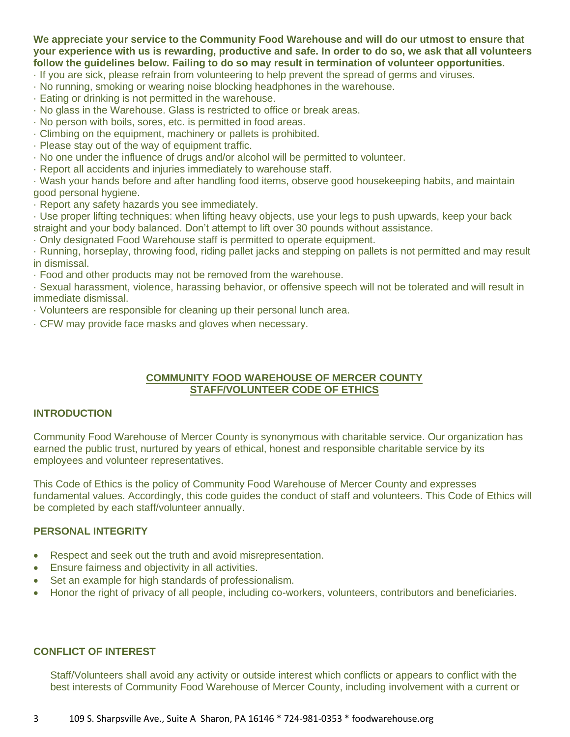**We appreciate your service to the Community Food Warehouse and will do our utmost to ensure that your experience with us is rewarding, productive and safe. In order to do so, we ask that all volunteers follow the guidelines below. Failing to do so may result in termination of volunteer opportunities.** 

- · If you are sick, please refrain from volunteering to help prevent the spread of germs and viruses.
- · No running, smoking or wearing noise blocking headphones in the warehouse.
- · Eating or drinking is not permitted in the warehouse.
- · No glass in the Warehouse. Glass is restricted to office or break areas.
- · No person with boils, sores, etc. is permitted in food areas.
- · Climbing on the equipment, machinery or pallets is prohibited.
- · Please stay out of the way of equipment traffic.
- · No one under the influence of drugs and/or alcohol will be permitted to volunteer.
- · Report all accidents and injuries immediately to warehouse staff.

· Wash your hands before and after handling food items, observe good housekeeping habits, and maintain good personal hygiene.

· Report any safety hazards you see immediately.

· Use proper lifting techniques: when lifting heavy objects, use your legs to push upwards, keep your back straight and your body balanced. Don't attempt to lift over 30 pounds without assistance.

· Only designated Food Warehouse staff is permitted to operate equipment.

· Running, horseplay, throwing food, riding pallet jacks and stepping on pallets is not permitted and may result in dismissal.

· Food and other products may not be removed from the warehouse.

· Sexual harassment, violence, harassing behavior, or offensive speech will not be tolerated and will result in immediate dismissal.

· Volunteers are responsible for cleaning up their personal lunch area.

· CFW may provide face masks and gloves when necessary.

### **COMMUNITY FOOD WAREHOUSE OF MERCER COUNTY STAFF/VOLUNTEER CODE OF ETHICS**

## **INTRODUCTION**

Community Food Warehouse of Mercer County is synonymous with charitable service. Our organization has earned the public trust, nurtured by years of ethical, honest and responsible charitable service by its employees and volunteer representatives.

This Code of Ethics is the policy of Community Food Warehouse of Mercer County and expresses fundamental values. Accordingly, this code guides the conduct of staff and volunteers. This Code of Ethics will be completed by each staff/volunteer annually.

## **PERSONAL INTEGRITY**

- Respect and seek out the truth and avoid misrepresentation.
- Ensure fairness and objectivity in all activities.
- Set an example for high standards of professionalism.
- Honor the right of privacy of all people, including co-workers, volunteers, contributors and beneficiaries.

## **CONFLICT OF INTEREST**

Staff/Volunteers shall avoid any activity or outside interest which conflicts or appears to conflict with the best interests of Community Food Warehouse of Mercer County, including involvement with a current or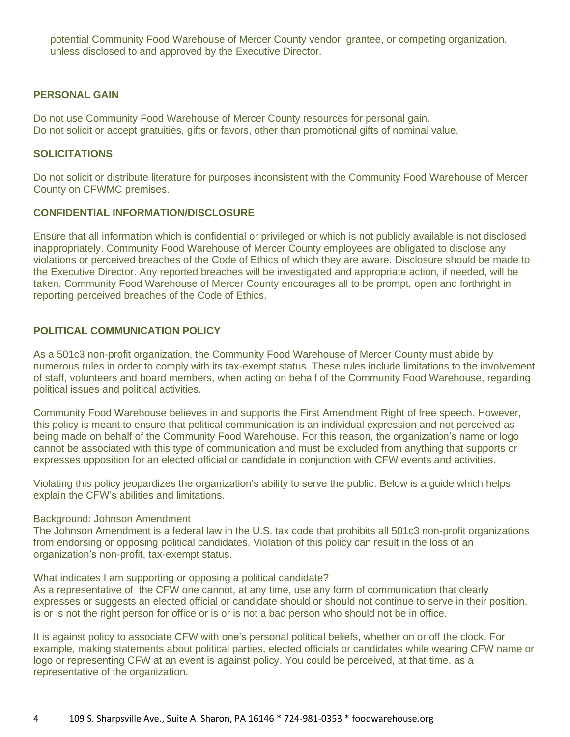potential Community Food Warehouse of Mercer County vendor, grantee, or competing organization, unless disclosed to and approved by the Executive Director.

#### **PERSONAL GAIN**

Do not use Community Food Warehouse of Mercer County resources for personal gain. Do not solicit or accept gratuities, gifts or favors, other than promotional gifts of nominal value.

#### **SOLICITATIONS**

Do not solicit or distribute literature for purposes inconsistent with the Community Food Warehouse of Mercer County on CFWMC premises.

#### **CONFIDENTIAL INFORMATION/DISCLOSURE**

Ensure that all information which is confidential or privileged or which is not publicly available is not disclosed inappropriately. Community Food Warehouse of Mercer County employees are obligated to disclose any violations or perceived breaches of the Code of Ethics of which they are aware. Disclosure should be made to the Executive Director. Any reported breaches will be investigated and appropriate action, if needed, will be taken. Community Food Warehouse of Mercer County encourages all to be prompt, open and forthright in reporting perceived breaches of the Code of Ethics.

#### **POLITICAL COMMUNICATION POLICY**

As a 501c3 non-profit organization, the Community Food Warehouse of Mercer County must abide by numerous rules in order to comply with its tax-exempt status. These rules include limitations to the involvement of staff, volunteers and board members, when acting on behalf of the Community Food Warehouse, regarding political issues and political activities.

Community Food Warehouse believes in and supports the First Amendment Right of free speech. However, this policy is meant to ensure that political communication is an individual expression and not perceived as being made on behalf of the Community Food Warehouse. For this reason, the organization's name or logo cannot be associated with this type of communication and must be excluded from anything that supports or expresses opposition for an elected official or candidate in conjunction with CFW events and activities.

Violating this policy jeopardizes the organization's ability to serve the public. Below is a guide which helps explain the CFW's abilities and limitations.

#### Background: Johnson Amendment

The Johnson Amendment is a federal law in the U.S. tax code that prohibits all 501c3 non-profit organizations from endorsing or opposing political candidates. Violation of this policy can result in the loss of an organization's non-profit, tax-exempt status.

#### What indicates I am supporting or opposing a political candidate?

As a representative of the CFW one cannot, at any time, use any form of communication that clearly expresses or suggests an elected official or candidate should or should not continue to serve in their position, is or is not the right person for office or is or is not a bad person who should not be in office.

It is against policy to associate CFW with one's personal political beliefs, whether on or off the clock. For example, making statements about political parties, elected officials or candidates while wearing CFW name or logo or representing CFW at an event is against policy. You could be perceived, at that time, as a representative of the organization.